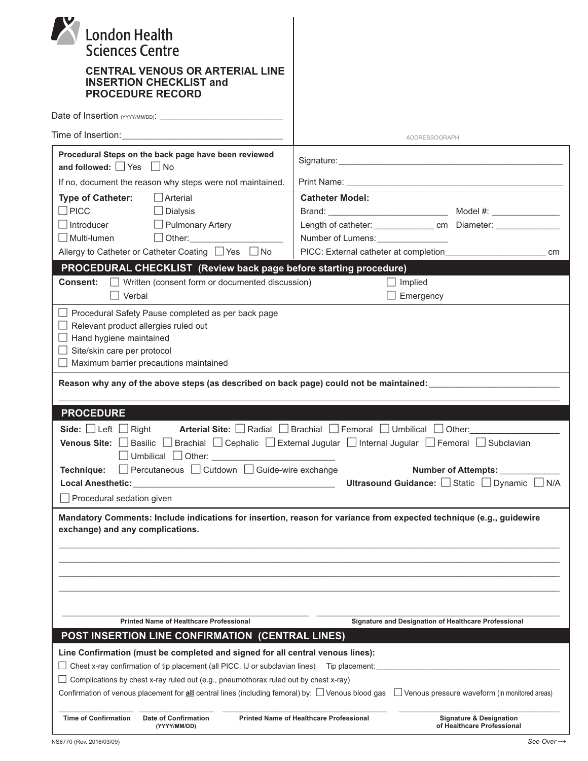| <b>London Health</b><br><b>Sciences Centre</b><br><b>CENTRAL VENOUS OR ARTERIAL LINE</b><br><b>INSERTION CHECKLIST and</b><br><b>PROCEDURE RECORD</b>                                                                                                   |                                                      |
|---------------------------------------------------------------------------------------------------------------------------------------------------------------------------------------------------------------------------------------------------------|------------------------------------------------------|
|                                                                                                                                                                                                                                                         |                                                      |
|                                                                                                                                                                                                                                                         |                                                      |
|                                                                                                                                                                                                                                                         | ADDRESSOGRAPH                                        |
| Procedural Steps on the back page have been reviewed<br>and followed: □ Yes □ No                                                                                                                                                                        |                                                      |
| If no, document the reason why steps were not maintained.                                                                                                                                                                                               |                                                      |
| $\Box$ Arterial<br><b>Type of Catheter:</b>                                                                                                                                                                                                             | <b>Catheter Model:</b>                               |
| $\Box$ PICC<br>$\Box$ Dialysis                                                                                                                                                                                                                          |                                                      |
| $\Box$ Introducer<br>Pulmonary Artery                                                                                                                                                                                                                   |                                                      |
| $\Box$ Other:<br>  Multi-lumen                                                                                                                                                                                                                          | Number of Lumens: _________________                  |
| Allergy to Catheter or Catheter Coating ■ Yes ■ No                                                                                                                                                                                                      | PICC: External catheter at completion<br>cm          |
| PROCEDURAL CHECKLIST (Review back page before starting procedure)                                                                                                                                                                                       |                                                      |
| <b>Consent:</b> Vritten (consent form or documented discussion)                                                                                                                                                                                         | $\Box$ Implied                                       |
| Verbal                                                                                                                                                                                                                                                  | Emergency                                            |
| Site/skin care per protocol<br>Maximum barrier precautions maintained<br>Reason why any of the above steps (as described on back page) could not be maintained: _______________________                                                                 |                                                      |
| <b>PROCEDURE</b>                                                                                                                                                                                                                                        |                                                      |
| Arterial Site: Radial Brachial Femoral Umbilical Other:<br>Side: $\Box$ Left $\Box$ Right<br>Venous Site: □ Basilic □ Brachial □ Cephalic □ External Jugular □ Internal Jugular □ Femoral □ Subclavian                                                  |                                                      |
| □ Percutaneous □ Cutdown □ Guide-wire exchange<br><b>Number of Attempts:</b><br>Technique:                                                                                                                                                              |                                                      |
|                                                                                                                                                                                                                                                         | Ultrasound Guidance: Static Dynamic D<br>N/A         |
| $\Box$ Procedural sedation given                                                                                                                                                                                                                        |                                                      |
| Mandatory Comments: Include indications for insertion, reason for variance from expected technique (e.g., guidewire<br>exchange) and any complications.                                                                                                 |                                                      |
| <b>Printed Name of Healthcare Professional</b>                                                                                                                                                                                                          | Signature and Designation of Healthcare Professional |
| <b>POST INSERTION LINE CONFIRMATION (CENTRAL LINES)</b>                                                                                                                                                                                                 |                                                      |
| Line Confirmation (must be completed and signed for all central venous lines):                                                                                                                                                                          |                                                      |
| $\Box$ Chest x-ray confirmation of tip placement (all PICC, IJ or subclavian lines) Tip placement:                                                                                                                                                      |                                                      |
| Complications by chest x-ray ruled out (e.g., pneumothorax ruled out by chest x-ray)<br>Confirmation of venous placement for all central lines (including femoral) by: [Concus blood gas [Confirmation of venous pressure waveform (in monitored areas) |                                                      |
| <b>Time of Confirmation</b><br><b>Printed Name of Healthcare Professional</b><br><b>Date of Confirmation</b>                                                                                                                                            |                                                      |